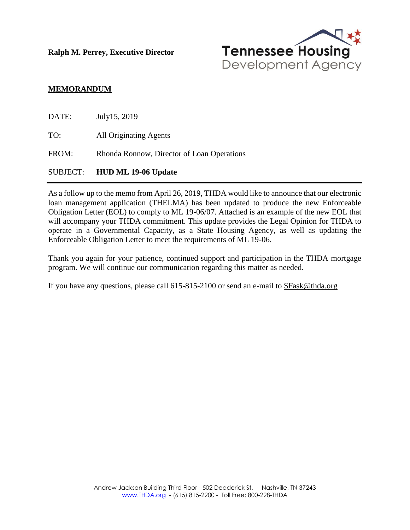**Ralph M. Perrey, Executive Director**



## **MEMORANDUM**

|       | SUBJECT: HUD ML 19-06 Update               |
|-------|--------------------------------------------|
| FROM: | Rhonda Ronnow, Director of Loan Operations |
| TO:   | All Originating Agents                     |
| DATE: | July15, 2019                               |

As a follow up to the memo from April 26, 2019, THDA would like to announce that our electronic loan management application (THELMA) has been updated to produce the new Enforceable Obligation Letter (EOL) to comply to ML 19-06/07. Attached is an example of the new EOL that will accompany your THDA commitment. This update provides the Legal Opinion for THDA to operate in a Governmental Capacity, as a State Housing Agency, as well as updating the Enforceable Obligation Letter to meet the requirements of ML 19-06.

Thank you again for your patience, continued support and participation in the THDA mortgage program. We will continue our communication regarding this matter as needed.

If you have any questions, please call 615-815-2100 or send an e-mail to [SFask@thda.org](mailto:SFask@thda.org)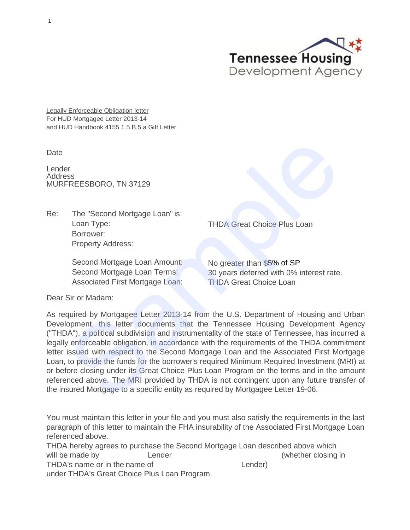

**Legally Enforceable Obligation letter** For HUD Mortgagee Letter 2013-14 and HUD Handbook 4155.1 5.B.5.a Gift Letter

**Date** 

Lender Address MURFREESBORO, TN 37129

Re: The "Second Mortgage Loan" is: Loan Type: Borrower: Property Address:

> Second Mortgage Loan Amount: Second Mortgage Loan Terms: Associated First Mortgage Loan:

THDA Great Choice Plus Loan

No greater than \$5% of SP 30 years deferred with 0% interest rate. THDA Great Choice Loan

Dear Sir or Madam:

As required by Mortgagee Letter 2013-14 from the U.S. Department of Housing and Urban Development, this letter documents that the Tennessee Housing Development Agency ("THDA"), a political subdivision and instrumentality of the state of Tennessee, has incurred a legally enforceable obligation, in accordance with the requirements of the THDA commitment letter issued with respect to the Second Mortgage Loan and the Associated First Mortgage Loan, to provide the funds for the borrower's required Minimum Required Investment (MRI) at or before closing under its Great Choice Plus Loan Program on the terms and in the amount referenced above. The MRI provided by THDA is not contingent upon any future transfer of the insured Mortgage to a specific entity as required by Mortgagee Letter 19-06. FREESBORO, TN 37129<br>
The "Second Mortgage Loan" is:<br>
Loan Type:<br>
Loan Type:<br>
Second Mortgage Loan Amount:<br>
Second Mortgage Loan Amount:<br>
Second Mortgage Loan Amount:<br>
Second Mortgage Loan Terms:<br>
30 years deferred with 0%

You must maintain this letter in your file and you must also satisfy the requirements in the last paragraph of this letter to maintain the FHA insurability of the Associated First Mortgage Loan referenced above.

THDA hereby agrees to purchase the Second Mortgage Loan described above which will be made by **Lender Lender Constanting the Marshall** Separate Separate in the matrice of  $\mathbb{R}^n$  (whether closing in THDA's name or in the name of Lender under THDA's Great Choice Plus Loan Program.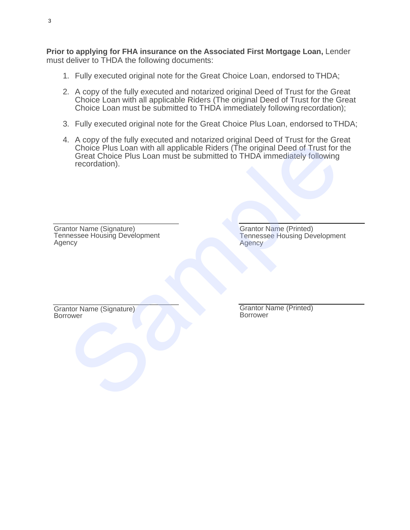**Prior to applying for FHA insurance on the Associated First Mortgage Loan,** Lender must deliver to THDA the following documents:

- 1. Fully executed original note for the Great Choice Loan, endorsed to THDA;
- 2. A copy of the fully executed and notarized original Deed of Trust for the Great Choice Loan with all applicable Riders (The original Deed of Trust for the Great Choice Loan must be submitted to THDA immediately following recordation);
- 3. Fully executed original note for the Great Choice Plus Loan, endorsed to THDA;
- 4. A copy of the fully executed and notarized original Deed of Trust for the Great Choice Plus Loan with all applicable Riders (The original Deed of Trust for the Great Choice Plus Loan must be submitted to THDA immediately following recordation). Record of the results of the original Dead of Trust for Choice Plus Loan with all applicable Riders (The original Deed of Trust for Great Choice Plus Loan must be submitted to THDA immediately following recordation).<br>
Into

Grantor Name (Signature) Tennessee Housing Development Agency

Grantor Name (Printed) Tennessee Housing Development Agency

Grantor Name (Signature) Borrower

Grantor Name (Printed) Borrower